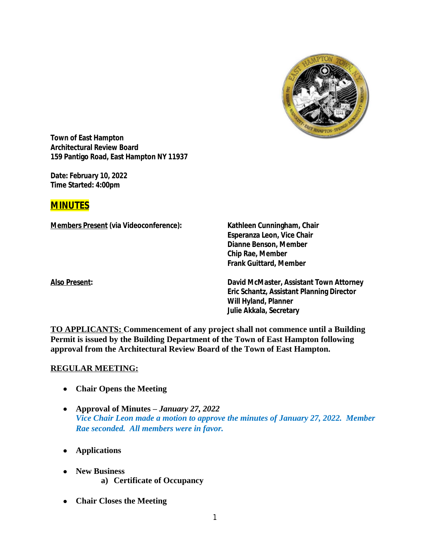

**Town of East Hampton Architectural Review Board 159 Pantigo Road, East Hampton NY 11937**

**Date:** *February 10, 2022* **Time Started: 4:00pm**

# **MINUTES**

**Members Present (via Videoconference): Kathleen Cunningham, Chair**

**Esperanza Leon, Vice Chair Dianne Benson, Member Chip Rae, Member Frank Guittard, Member**

**Also Present: David McMaster, Assistant Town Attorney Eric Schantz, Assistant Planning Director Will Hyland, Planner Julie Akkala, Secretary**

**TO APPLICANTS: Commencement of any project shall not commence until a Building Permit is issued by the Building Department of the Town of East Hampton following approval from the Architectural Review Board of the Town of East Hampton.**

#### **REGULAR MEETING:**

- **Chair Opens the Meeting**
- **Approval of Minutes –** *January 27, 2022 Vice Chair Leon made a motion to approve the minutes of January 27, 2022. Member Rae seconded. All members were in favor.*
- **Applications**
- **New Business a) Certificate of Occupancy**
- **Chair Closes the Meeting**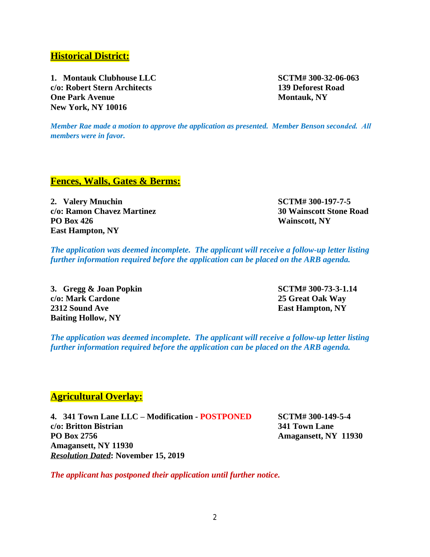# **Historical District:**

**1. Montauk Clubhouse LLC SCTM# 300-32-06-063 c/o: Robert Stern Architects 139 Deforest Road One Park Avenue Montauk, NY New York, NY 10016**

*Member Rae made a motion to approve the application as presented. Member Benson seconded. All members were in favor.*

## **Fences, Walls, Gates & Berms:**

**2. Valery Mnuchin SCTM# 300-197-7-5 c/o: Ramon Chavez Martinez 30 Wainscott Stone Road PO Box 426 Wainscott, NY East Hampton, NY**

*The application was deemed incomplete. The applicant will receive a follow-up letter listing further information required before the application can be placed on the ARB agenda.*

**3. Gregg & Joan Popkin SCTM# 300-73-3-1.14 c/o: Mark Cardone 25 Great Oak Way 2312 Sound Ave East Hampton, NY Baiting Hollow, NY**

*The application was deemed incomplete. The applicant will receive a follow-up letter listing further information required before the application can be placed on the ARB agenda.*

## **Agricultural Overlay:**

**4. 341 Town Lane LLC – Modification - POSTPONED SCTM# 300-149-5-4 c/o: Britton Bistrian 341 Town Lane PO Box 2756 Amagansett, NY 11930 Amagansett, NY 11930** *Resolution Dated***: November 15, 2019**

*The applicant has postponed their application until further notice.*